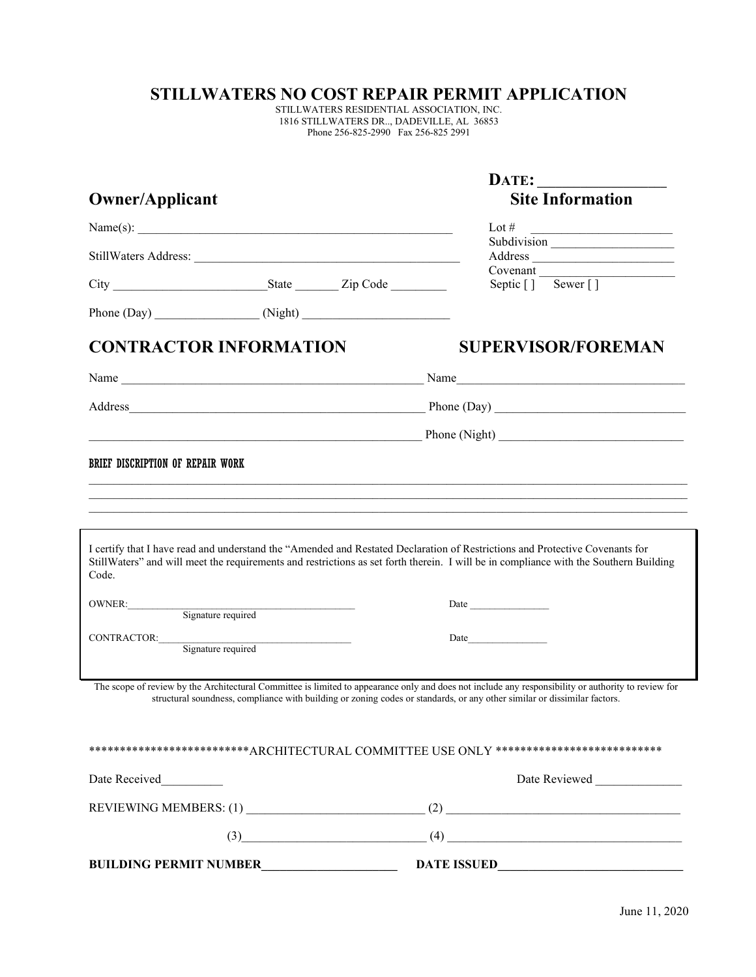## **STILLWATERS NO COST REPAIR PERMIT APPLICATION**

STILLWATERS RESIDENTIAL ASSOCIATION, INC. 1816 STILLWATERS DR.., DADEVILLE, AL 36853 Phone 256-825-2990 Fax 256-825 2991

|                                                                                                                                                                                                                                                                                 |                    |  | DATE:                                                                                                                                                                                                                                                                 |
|---------------------------------------------------------------------------------------------------------------------------------------------------------------------------------------------------------------------------------------------------------------------------------|--------------------|--|-----------------------------------------------------------------------------------------------------------------------------------------------------------------------------------------------------------------------------------------------------------------------|
| <b>Owner/Applicant</b>                                                                                                                                                                                                                                                          |                    |  | <b>Site Information</b>                                                                                                                                                                                                                                               |
|                                                                                                                                                                                                                                                                                 |                    |  | Lot # $\qquad \qquad$                                                                                                                                                                                                                                                 |
|                                                                                                                                                                                                                                                                                 |                    |  | Subdivision                                                                                                                                                                                                                                                           |
|                                                                                                                                                                                                                                                                                 |                    |  | Covenant<br>Septic $\boxed{ }$ Sewer $\boxed{ }$                                                                                                                                                                                                                      |
|                                                                                                                                                                                                                                                                                 |                    |  |                                                                                                                                                                                                                                                                       |
|                                                                                                                                                                                                                                                                                 |                    |  |                                                                                                                                                                                                                                                                       |
| <b>CONTRACTOR INFORMATION</b>                                                                                                                                                                                                                                                   |                    |  | <b>SUPERVISOR/FOREMAN</b>                                                                                                                                                                                                                                             |
|                                                                                                                                                                                                                                                                                 |                    |  |                                                                                                                                                                                                                                                                       |
|                                                                                                                                                                                                                                                                                 |                    |  |                                                                                                                                                                                                                                                                       |
|                                                                                                                                                                                                                                                                                 |                    |  | $\frac{1}{2}$ Phone (Night) $\frac{1}{2}$ Phone (Night) $\frac{1}{2}$ Phone (Night) $\frac{1}{2}$ Phone (Night) $\frac{1}{2}$ Phone (Night) $\frac{1}{2}$ Phone (Night) $\frac{1}{2}$ Phone (Night) $\frac{1}{2}$ Phone (Night) $\frac{1}{2}$ Phone (Night) $\frac{1$ |
| BRIEF DISCRIPTION OF REPAIR WORK                                                                                                                                                                                                                                                |                    |  |                                                                                                                                                                                                                                                                       |
|                                                                                                                                                                                                                                                                                 |                    |  |                                                                                                                                                                                                                                                                       |
|                                                                                                                                                                                                                                                                                 |                    |  |                                                                                                                                                                                                                                                                       |
|                                                                                                                                                                                                                                                                                 |                    |  |                                                                                                                                                                                                                                                                       |
| I certify that I have read and understand the "Amended and Restated Declaration of Restrictions and Protective Covenants for<br>StillWaters" and will meet the requirements and restrictions as set forth therein. I will be in compliance with the Southern Building<br>Code.  |                    |  |                                                                                                                                                                                                                                                                       |
| OWNER:                                                                                                                                                                                                                                                                          | Signature required |  | Date and the same state of the state of the state of the state of the state of the state of the state of the state of the state of the state of the state of the state of the state of the state of the state of the state of                                         |
|                                                                                                                                                                                                                                                                                 |                    |  |                                                                                                                                                                                                                                                                       |
| CONTRACTOR: Signature required                                                                                                                                                                                                                                                  |                    |  | Date                                                                                                                                                                                                                                                                  |
|                                                                                                                                                                                                                                                                                 |                    |  |                                                                                                                                                                                                                                                                       |
| The scope of review by the Architectural Committee is limited to appearance only and does not include any responsibility or authority to review for<br>structural soundness, compliance with building or zoning codes or standards, or any other similar or dissimilar factors. |                    |  |                                                                                                                                                                                                                                                                       |
|                                                                                                                                                                                                                                                                                 |                    |  |                                                                                                                                                                                                                                                                       |
| **************************ARCHITECTURAL COMMITTEE USE ONLY ***************************                                                                                                                                                                                          |                    |  |                                                                                                                                                                                                                                                                       |
| Date Received<br>$\mathcal{L}^{\text{max}}_{\text{max}}$ , where $\mathcal{L}^{\text{max}}_{\text{max}}$                                                                                                                                                                        |                    |  | Date Reviewed                                                                                                                                                                                                                                                         |
|                                                                                                                                                                                                                                                                                 |                    |  |                                                                                                                                                                                                                                                                       |
|                                                                                                                                                                                                                                                                                 |                    |  | $(3)$ (3)                                                                                                                                                                                                                                                             |
|                                                                                                                                                                                                                                                                                 |                    |  |                                                                                                                                                                                                                                                                       |